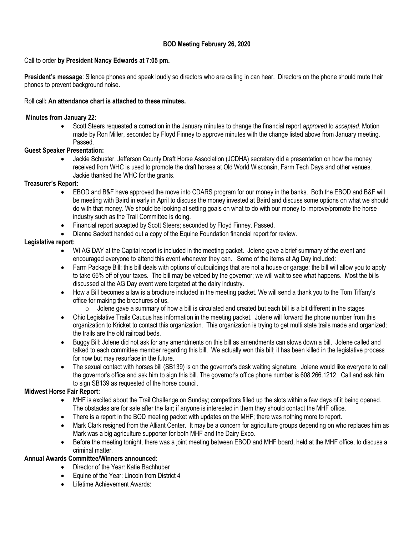# **BOD Meeting February 26, 2020**

### Call to order **by President Nancy Edwards at 7:05 pm.**

**President's message**: Silence phones and speak loudly so directors who are calling in can hear. Directors on the phone should mute their phones to prevent background noise.

### Roll call**: An attendance chart is attached to these minutes.**

### **Minutes from January 22:**

• Scott Steers requested a correction in the January minutes to change the financial report *approved* to *accepted.* Motion made by Ron Miller, seconded by Floyd Finney to approve minutes with the change listed above from January meeting. Passed.

### **Guest Speaker Presentation:**

• Jackie Schuster, Jefferson County Draft Horse Association (JCDHA) secretary did a presentation on how the money received from WHC is used to promote the draft horses at Old World Wisconsin, Farm Tech Days and other venues. Jackie thanked the WHC for the grants.

### **Treasurer's Report:**

- EBOD and B&F have approved the move into CDARS program for our money in the banks. Both the EBOD and B&F will be meeting with Baird in early in April to discuss the money invested at Baird and discuss some options on what we should do with that money. We should be looking at setting goals on what to do with our money to improve/promote the horse industry such as the Trail Committee is doing.
- Financial report accepted by Scott Steers; seconded by Floyd Finney. Passed.
- Dianne Sackett handed out a copy of the Equine Foundation financial report for review.

### **Legislative report:**

- WI AG DAY at the Capital report is included in the meeting packet. Jolene gave a brief summary of the event and encouraged everyone to attend this event whenever they can. Some of the items at Ag Day included:
- Farm Package Bill: this bill deals with options of outbuildings that are not a house or garage; the bill will allow you to apply to take 66% off of your taxes. The bill may be vetoed by the governor; we will wait to see what happens. Most the bills discussed at the AG Day event were targeted at the dairy industry.
- How a Bill becomes a law is a brochure included in the meeting packet. We will send a thank you to the Tom Tiffany's office for making the brochures of us.
	- $\circ$  Jolene gave a summary of how a bill is circulated and created but each bill is a bit different in the stages
- Ohio Legislative Trails Caucus has information in the meeting packet. Jolene will forward the phone number from this organization to Kricket to contact this organization. This organization is trying to get multi state trails made and organized; the trails are the old railroad beds.
- Buggy Bill: Jolene did not ask for any amendments on this bill as amendments can slows down a bill. Jolene called and talked to each committee member regarding this bill. We actually won this bill; it has been killed in the legislative process for now but may resurface in the future.
- The sexual contact with horses bill (SB139) is on the governor's desk waiting signature. Jolene would like everyone to call the governor's office and ask him to sign this bill. The governor's office phone number is 608.266.1212. Call and ask him to sign SB139 as requested of the horse council.

## **Midwest Horse Fair Report:**

- MHF is excited about the Trail Challenge on Sunday; competitors filled up the slots within a few days of it being opened. The obstacles are for sale after the fair; if anyone is interested in them they should contact the MHF office.
- There is a report in the BOD meeting packet with updates on the MHF; there was nothing more to report.
- Mark Clark resigned from the Alliant Center. It may be a concern for agriculture groups depending on who replaces him as Mark was a big agriculture supporter for both MHF and the Dairy Expo.
- Before the meeting tonight, there was a joint meeting between EBOD and MHF board, held at the MHF office, to discuss a criminal matter.

# **Annual Awards Committee/Winners announced:**

- Director of the Year: Katie Bachhuber
- Equine of the Year: Lincoln from District 4
- Lifetime Achievement Awards: